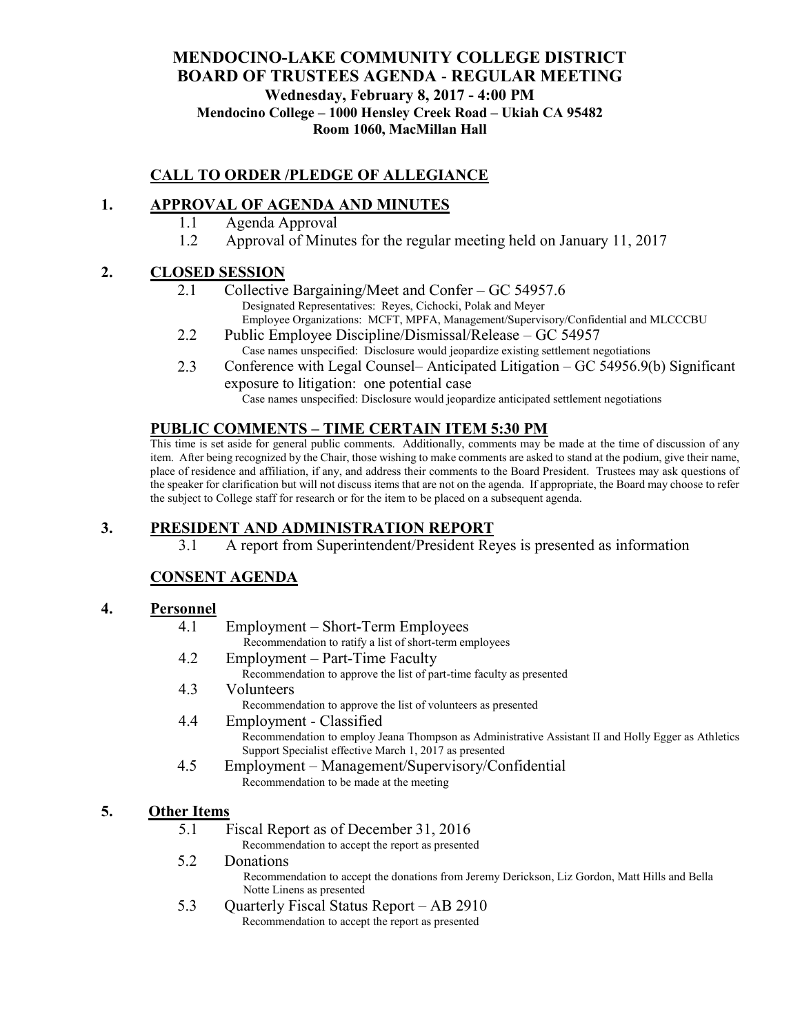### **MENDOCINO-LAKE COMMUNITY COLLEGE DISTRICT BOARD OF TRUSTEES AGENDA** - **REGULAR MEETING Wednesday, February 8, 2017 - 4:00 PM Mendocino College – 1000 Hensley Creek Road – Ukiah CA 95482 Room 1060, MacMillan Hall**

# **CALL TO ORDER /PLEDGE OF ALLEGIANCE**

## **1. APPROVAL OF AGENDA AND MINUTES**

- 1.1 Agenda Approval
- 1.2 Approval of Minutes for the regular meeting held on January 11, 2017

### **2. CLOSED SESSION**

- 2.1 Collective Bargaining/Meet and Confer GC 54957.6 Designated Representatives: Reyes, Cichocki, Polak and Meyer Employee Organizations: MCFT, MPFA, Management/Supervisory/Confidential and MLCCCBU
- 2.2 Public Employee Discipline/Dismissal/Release GC 54957 Case names unspecified: Disclosure would jeopardize existing settlement negotiations
- 2.3 Conference with Legal Counsel– Anticipated Litigation GC 54956.9(b) Significant exposure to litigation: one potential case

Case names unspecified: Disclosure would jeopardize anticipated settlement negotiations

### **PUBLIC COMMENTS – TIME CERTAIN ITEM 5:30 PM**

This time is set aside for general public comments. Additionally, comments may be made at the time of discussion of any item. After being recognized by the Chair, those wishing to make comments are asked to stand at the podium, give their name, place of residence and affiliation, if any, and address their comments to the Board President. Trustees may ask questions of the speaker for clarification but will not discuss items that are not on the agenda. If appropriate, the Board may choose to refer the subject to College staff for research or for the item to be placed on a subsequent agenda.

### **3. PRESIDENT AND ADMINISTRATION REPORT**

3.1 A report from Superintendent/President Reyes is presented as information

# **CONSENT AGENDA**

#### **4. Personnel**

- 4.1 Employment Short-Term Employees Recommendation to ratify a list of short-term employees 4.2 Employment – Part-Time Faculty Recommendation to approve the list of part-time faculty as presented 4.3 Volunteers
	- Recommendation to approve the list of volunteers as presented
- 4.4 Employment Classified Recommendation to employ Jeana Thompson as Administrative Assistant II and Holly Egger as Athletics Support Specialist effective March 1, 2017 as presented
- 4.5 Employment Management/Supervisory/Confidential Recommendation to be made at the meeting

#### **5. Other Items**

5.1 Fiscal Report as of December 31, 2016

Recommendation to accept the report as presented

5.2 Donations

Recommendation to accept the donations from Jeremy Derickson, Liz Gordon, Matt Hills and Bella Notte Linens as presented

5.3 Quarterly Fiscal Status Report – AB 2910 Recommendation to accept the report as presented